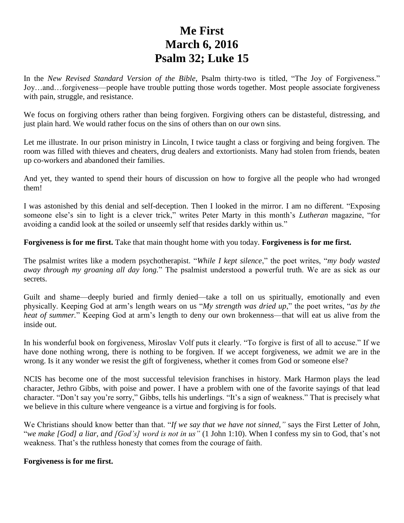# **Me First March 6, 2016 Psalm 32; Luke 15**

In the *New Revised Standard Version of the Bible*, Psalm thirty-two is titled, "The Joy of Forgiveness." Joy…and…forgiveness—people have trouble putting those words together. Most people associate forgiveness with pain, struggle, and resistance.

We focus on forgiving others rather than being forgiven. Forgiving others can be distasteful, distressing, and just plain hard. We would rather focus on the sins of others than on our own sins.

Let me illustrate. In our prison ministry in Lincoln, I twice taught a class or forgiving and being forgiven. The room was filled with thieves and cheaters, drug dealers and extortionists. Many had stolen from friends, beaten up co-workers and abandoned their families.

And yet, they wanted to spend their hours of discussion on how to forgive all the people who had wronged them!

I was astonished by this denial and self-deception. Then I looked in the mirror. I am no different. "Exposing someone else's sin to light is a clever trick," writes Peter Marty in this month's *Lutheran* magazine, "for avoiding a candid look at the soiled or unseemly self that resides darkly within us."

**Forgiveness is for me first.** Take that main thought home with you today. **Forgiveness is for me first.**

The psalmist writes like a modern psychotherapist. "*While I kept silence*," the poet writes, "*my body wasted away through my groaning all day long.*" The psalmist understood a powerful truth. We are as sick as our secrets.

Guilt and shame—deeply buried and firmly denied—take a toll on us spiritually, emotionally and even physically. Keeping God at arm's length wears on us "*My strength was dried up*," the poet writes, "*as by the heat of summer.*" Keeping God at arm's length to deny our own brokenness—that will eat us alive from the inside out.

In his wonderful book on forgiveness, Miroslav Volf puts it clearly. "To forgive is first of all to accuse." If we have done nothing wrong, there is nothing to be forgiven. If we accept forgiveness, we admit we are in the wrong. Is it any wonder we resist the gift of forgiveness, whether it comes from God or someone else?

NCIS has become one of the most successful television franchises in history. Mark Harmon plays the lead character, Jethro Gibbs, with poise and power. I have a problem with one of the favorite sayings of that lead character. "Don't say you're sorry," Gibbs, tells his underlings. "It's a sign of weakness." That is precisely what we believe in this culture where vengeance is a virtue and forgiving is for fools.

We Christians should know better than that. "*If we say that we have not sinned,"* says the First Letter of John, "*we make [God] a liar, and [God's] word is not in us"* (1 John 1:10). When I confess my sin to God, that's not weakness. That's the ruthless honesty that comes from the courage of faith.

# **Forgiveness is for me first.**